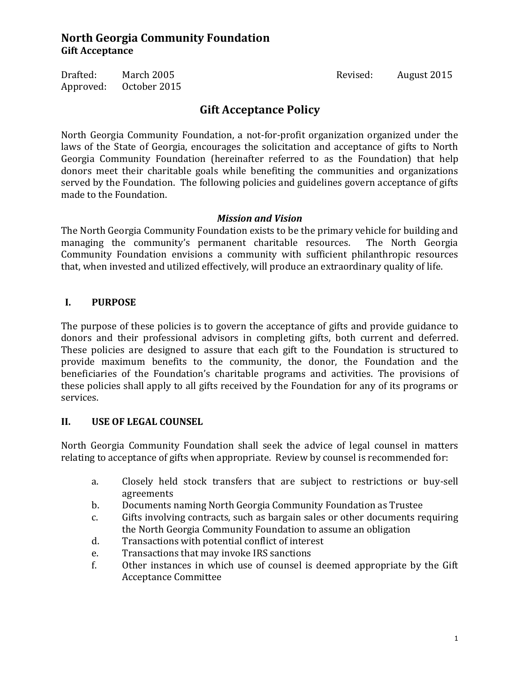Drafted: March 2005 Revised: August 2015 Approved: October 2015

# **Gift Acceptance Policy**

North Georgia Community Foundation, a not-for-profit organization organized under the laws of the State of Georgia, encourages the solicitation and acceptance of gifts to North Georgia Community Foundation (hereinafter referred to as the Foundation) that help donors meet their charitable goals while benefiting the communities and organizations served by the Foundation. The following policies and guidelines govern acceptance of gifts made to the Foundation.

#### *Mission and Vision*

The North Georgia Community Foundation exists to be the primary vehicle for building and managing the community's permanent charitable resources. The North Georgia Community Foundation envisions a community with sufficient philanthropic resources that, when invested and utilized effectively, will produce an extraordinary quality of life.

### **I. PURPOSE**

The purpose of these policies is to govern the acceptance of gifts and provide guidance to donors and their professional advisors in completing gifts, both current and deferred. These policies are designed to assure that each gift to the Foundation is structured to provide maximum benefits to the community, the donor, the Foundation and the beneficiaries of the Foundation's charitable programs and activities. The provisions of these policies shall apply to all gifts received by the Foundation for any of its programs or services.

### **II. USE OF LEGAL COUNSEL**

North Georgia Community Foundation shall seek the advice of legal counsel in matters relating to acceptance of gifts when appropriate. Review by counsel is recommended for:

- a. Closely held stock transfers that are subject to restrictions or buy-sell agreements
- b. Documents naming North Georgia Community Foundation as Trustee
- c. Gifts involving contracts, such as bargain sales or other documents requiring the North Georgia Community Foundation to assume an obligation
- d. Transactions with potential conflict of interest
- e. Transactions that may invoke IRS sanctions
- f. Other instances in which use of counsel is deemed appropriate by the Gift Acceptance Committee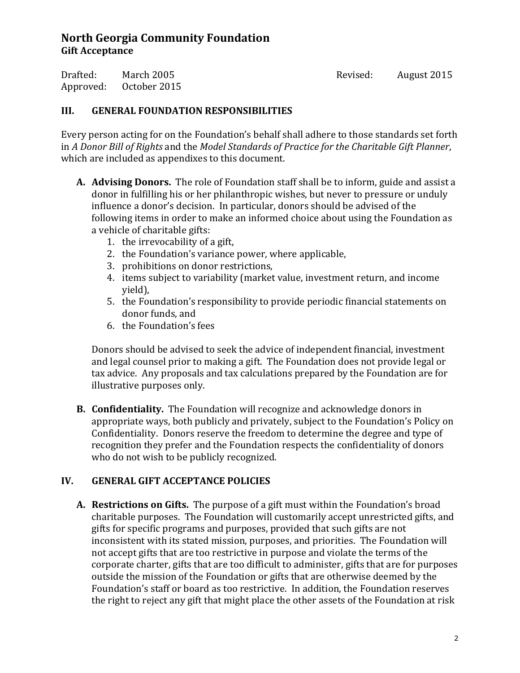Drafted: March 2005 Revised: August 2015 Approved: October 2015

#### **III. GENERAL FOUNDATION RESPONSIBILITIES**

Every person acting for on the Foundation's behalf shall adhere to those standards set forth in *A Donor Bill of Rights* and the *Model Standards of Practice for the Charitable Gift Planner*, which are included as appendixes to this document.

- **A. Advising Donors.** The role of Foundation staff shall be to inform, guide and assist a donor in fulfilling his or her philanthropic wishes, but never to pressure or unduly influence a donor's decision. In particular, donors should be advised of the following items in order to make an informed choice about using the Foundation as a vehicle of charitable gifts:
	- 1. the irrevocability of a gift,
	- 2. the Foundation's variance power, where applicable,
	- 3. prohibitions on donor restrictions,
	- 4. items subject to variability (market value, investment return, and income yield),
	- 5. the Foundation's responsibility to provide periodic financial statements on donor funds, and
	- 6. the Foundation's fees

Donors should be advised to seek the advice of independent financial, investment and legal counsel prior to making a gift. The Foundation does not provide legal or tax advice. Any proposals and tax calculations prepared by the Foundation are for illustrative purposes only.

**B. Confidentiality.** The Foundation will recognize and acknowledge donors in appropriate ways, both publicly and privately, subject to the Foundation's Policy on Confidentiality. Donors reserve the freedom to determine the degree and type of recognition they prefer and the Foundation respects the confidentiality of donors who do not wish to be publicly recognized.

### **IV. GENERAL GIFT ACCEPTANCE POLICIES**

**A. Restrictions on Gifts.** The purpose of a gift must within the Foundation's broad charitable purposes. The Foundation will customarily accept unrestricted gifts, and gifts for specific programs and purposes, provided that such gifts are not inconsistent with its stated mission, purposes, and priorities. The Foundation will not accept gifts that are too restrictive in purpose and violate the terms of the corporate charter, gifts that are too difficult to administer, gifts that are for purposes outside the mission of the Foundation or gifts that are otherwise deemed by the Foundation's staff or board as too restrictive. In addition, the Foundation reserves the right to reject any gift that might place the other assets of the Foundation at risk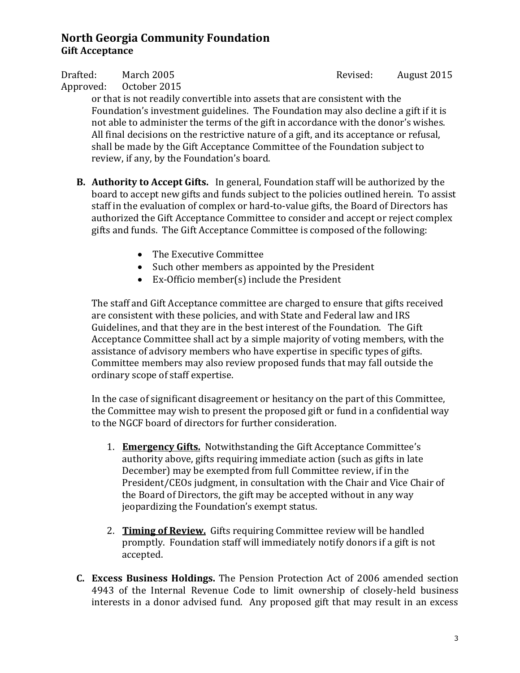Approved: October 2015

Drafted: March 2005 Revised: August 2015

or that is not readily convertible into assets that are consistent with the Foundation's investment guidelines. The Foundation may also decline a gift if it is not able to administer the terms of the gift in accordance with the donor's wishes. All final decisions on the restrictive nature of a gift, and its acceptance or refusal, shall be made by the Gift Acceptance Committee of the Foundation subject to review, if any, by the Foundation's board.

- **B. Authority to Accept Gifts.** In general, Foundation staff will be authorized by the board to accept new gifts and funds subject to the policies outlined herein. To assist staff in the evaluation of complex or hard-to-value gifts, the Board of Directors has authorized the Gift Acceptance Committee to consider and accept or reject complex gifts and funds. The Gift Acceptance Committee is composed of the following:
	- The Executive Committee
	- Such other members as appointed by the President
	- Ex-Officio member(s) include the President

The staff and Gift Acceptance committee are charged to ensure that gifts received are consistent with these policies, and with State and Federal law and IRS Guidelines, and that they are in the best interest of the Foundation. The Gift Acceptance Committee shall act by a simple majority of voting members, with the assistance of advisory members who have expertise in specific types of gifts. Committee members may also review proposed funds that may fall outside the ordinary scope of staff expertise.

In the case of significant disagreement or hesitancy on the part of this Committee, the Committee may wish to present the proposed gift or fund in a confidential way to the NGCF board of directors for further consideration.

- 1. **Emergency Gifts.** Notwithstanding the Gift Acceptance Committee's authority above, gifts requiring immediate action (such as gifts in late December) may be exempted from full Committee review, if in the President/CEOs judgment, in consultation with the Chair and Vice Chair of the Board of Directors, the gift may be accepted without in any way jeopardizing the Foundation's exempt status.
- 2. **Timing of Review.** Gifts requiring Committee review will be handled promptly. Foundation staff will immediately notify donors if a gift is not accepted.
- **C. Excess Business Holdings.** The Pension Protection Act of 2006 amended section 4943 of the Internal Revenue Code to limit ownership of closely-held business interests in a donor advised fund. Any proposed gift that may result in an excess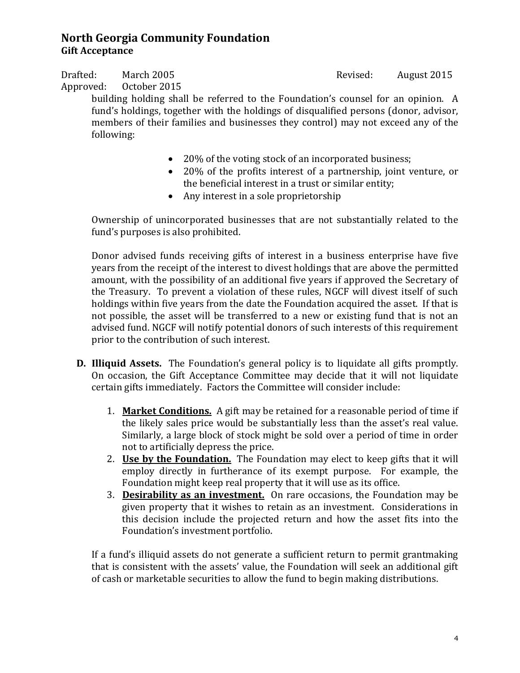Drafted: March 2005 Revised: August 2015 Approved: October 2015

building holding shall be referred to the Foundation's counsel for an opinion. A fund's holdings, together with the holdings of disqualified persons (donor, advisor, members of their families and businesses they control) may not exceed any of the following:

- 20% of the voting stock of an incorporated business;
- 20% of the profits interest of a partnership, joint venture, or the beneficial interest in a trust or similar entity;
- Any interest in a sole proprietorship

Ownership of unincorporated businesses that are not substantially related to the fund's purposes is also prohibited.

Donor advised funds receiving gifts of interest in a business enterprise have five years from the receipt of the interest to divest holdings that are above the permitted amount, with the possibility of an additional five years if approved the Secretary of the Treasury. To prevent a violation of these rules, NGCF will divest itself of such holdings within five years from the date the Foundation acquired the asset. If that is not possible, the asset will be transferred to a new or existing fund that is not an advised fund. NGCF will notify potential donors of such interests of this requirement prior to the contribution of such interest.

- **D. Illiquid Assets.** The Foundation's general policy is to liquidate all gifts promptly. On occasion, the Gift Acceptance Committee may decide that it will not liquidate certain gifts immediately. Factors the Committee will consider include:
	- 1. **Market Conditions.** A gift may be retained for a reasonable period of time if the likely sales price would be substantially less than the asset's real value. Similarly, a large block of stock might be sold over a period of time in order not to artificially depress the price.
	- 2. **Use by the Foundation.** The Foundation may elect to keep gifts that it will employ directly in furtherance of its exempt purpose. For example, the Foundation might keep real property that it will use as its office.
	- 3. **Desirability as an investment.** On rare occasions, the Foundation may be given property that it wishes to retain as an investment. Considerations in this decision include the projected return and how the asset fits into the Foundation's investment portfolio.

If a fund's illiquid assets do not generate a sufficient return to permit grantmaking that is consistent with the assets' value, the Foundation will seek an additional gift of cash or marketable securities to allow the fund to begin making distributions.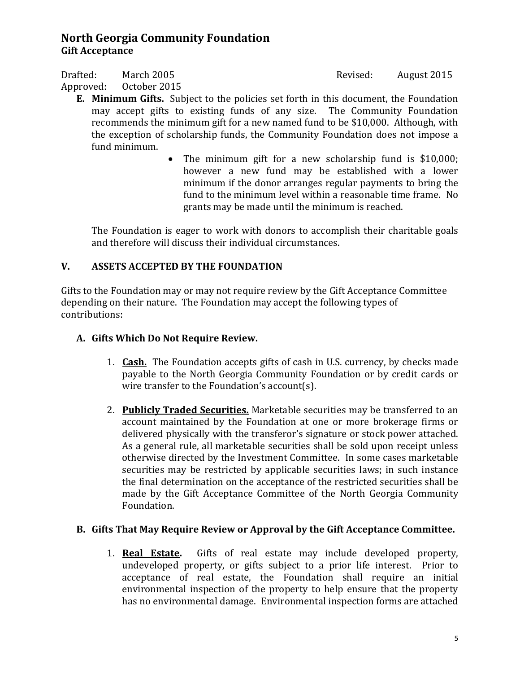Drafted: March 2005 Revised: August 2015 Approved: October 2015

- **E. Minimum Gifts.** Subject to the policies set forth in this document, the Foundation may accept gifts to existing funds of any size. The Community Foundation recommends the minimum gift for a new named fund to be \$10,000. Although, with the exception of scholarship funds, the Community Foundation does not impose a fund minimum.
	- The minimum gift for a new scholarship fund is \$10,000; however a new fund may be established with a lower minimum if the donor arranges regular payments to bring the fund to the minimum level within a reasonable time frame. No grants may be made until the minimum is reached.

The Foundation is eager to work with donors to accomplish their charitable goals and therefore will discuss their individual circumstances.

# **V. ASSETS ACCEPTED BY THE FOUNDATION**

Gifts to the Foundation may or may not require review by the Gift Acceptance Committee depending on their nature. The Foundation may accept the following types of contributions:

### **A. Gifts Which Do Not Require Review.**

- 1. **Cash.** The Foundation accepts gifts of cash in U.S. currency, by checks made payable to the North Georgia Community Foundation or by credit cards or wire transfer to the Foundation's account(s).
- 2. **Publicly Traded Securities.** Marketable securities may be transferred to an account maintained by the Foundation at one or more brokerage firms or delivered physically with the transferor's signature or stock power attached. As a general rule, all marketable securities shall be sold upon receipt unless otherwise directed by the Investment Committee. In some cases marketable securities may be restricted by applicable securities laws; in such instance the final determination on the acceptance of the restricted securities shall be made by the Gift Acceptance Committee of the North Georgia Community Foundation.

### **B. Gifts That May Require Review or Approval by the Gift Acceptance Committee.**

1. **Real Estate.** Gifts of real estate may include developed property, undeveloped property, or gifts subject to a prior life interest. Prior to acceptance of real estate, the Foundation shall require an initial environmental inspection of the property to help ensure that the property has no environmental damage. Environmental inspection forms are attached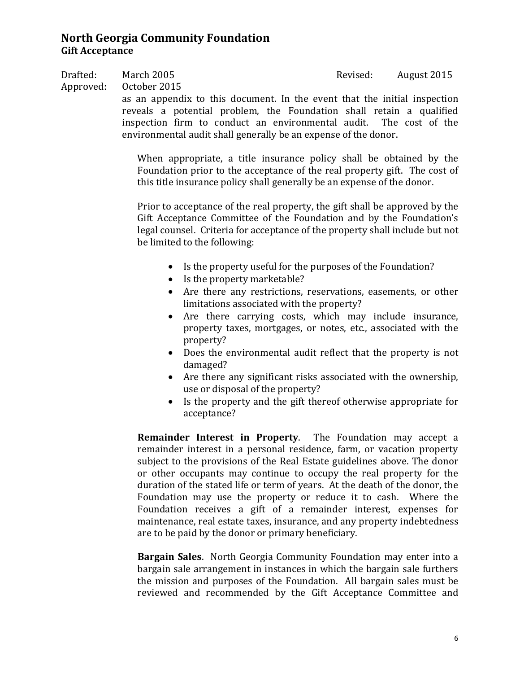Drafted: March 2005 Revised: August 2015 Approved: October 2015

> as an appendix to this document. In the event that the initial inspection reveals a potential problem, the Foundation shall retain a qualified inspection firm to conduct an environmental audit. The cost of the environmental audit shall generally be an expense of the donor.

When appropriate, a title insurance policy shall be obtained by the Foundation prior to the acceptance of the real property gift. The cost of this title insurance policy shall generally be an expense of the donor.

Prior to acceptance of the real property, the gift shall be approved by the Gift Acceptance Committee of the Foundation and by the Foundation's legal counsel. Criteria for acceptance of the property shall include but not be limited to the following:

- Is the property useful for the purposes of the Foundation?
- Is the property marketable?
- Are there any restrictions, reservations, easements, or other limitations associated with the property?
- Are there carrying costs, which may include insurance, property taxes, mortgages, or notes, etc., associated with the property?
- Does the environmental audit reflect that the property is not damaged?
- Are there any significant risks associated with the ownership, use or disposal of the property?
- Is the property and the gift thereof otherwise appropriate for acceptance?

**Remainder Interest in Property**. The Foundation may accept a remainder interest in a personal residence, farm, or vacation property subject to the provisions of the Real Estate guidelines above. The donor or other occupants may continue to occupy the real property for the duration of the stated life or term of years. At the death of the donor, the Foundation may use the property or reduce it to cash. Where the Foundation receives a gift of a remainder interest, expenses for maintenance, real estate taxes, insurance, and any property indebtedness are to be paid by the donor or primary beneficiary.

**Bargain Sales**. North Georgia Community Foundation may enter into a bargain sale arrangement in instances in which the bargain sale furthers the mission and purposes of the Foundation. All bargain sales must be reviewed and recommended by the Gift Acceptance Committee and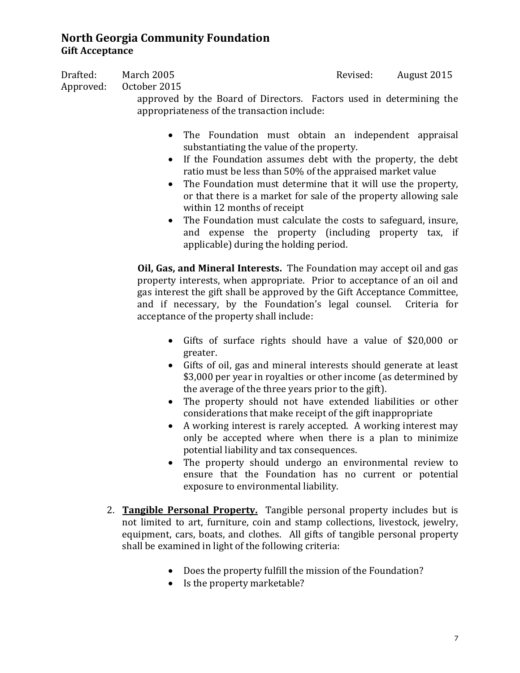Drafted: March 2005 Revised: August 2015 Approved: October 2015 approved by the Board of Directors. Factors used in determining the appropriateness of the transaction include:

- The Foundation must obtain an independent appraisal substantiating the value of the property.
- If the Foundation assumes debt with the property, the debt ratio must be less than 50% of the appraised market value
- The Foundation must determine that it will use the property, or that there is a market for sale of the property allowing sale within 12 months of receipt
- The Foundation must calculate the costs to safeguard, insure, and expense the property (including property tax, if applicable) during the holding period.

**Oil, Gas, and Mineral Interests.** The Foundation may accept oil and gas property interests, when appropriate. Prior to acceptance of an oil and gas interest the gift shall be approved by the Gift Acceptance Committee, and if necessary, by the Foundation's legal counsel. Criteria for acceptance of the property shall include:

- Gifts of surface rights should have a value of \$20,000 or greater.
- Gifts of oil, gas and mineral interests should generate at least \$3,000 per year in royalties or other income (as determined by the average of the three years prior to the gift).
- The property should not have extended liabilities or other considerations that make receipt of the gift inappropriate
- A working interest is rarely accepted. A working interest may only be accepted where when there is a plan to minimize potential liability and tax consequences.
- The property should undergo an environmental review to ensure that the Foundation has no current or potential exposure to environmental liability.
- 2. **Tangible Personal Property.** Tangible personal property includes but is not limited to art, furniture, coin and stamp collections, livestock, jewelry, equipment, cars, boats, and clothes. All gifts of tangible personal property shall be examined in light of the following criteria:
	- Does the property fulfill the mission of the Foundation?
	- Is the property marketable?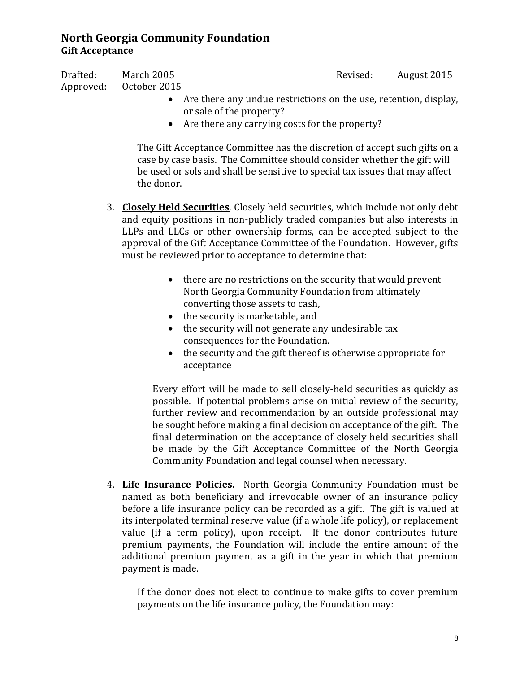Drafted: March 2005 Revised: August 2015 Approved: October 2015

- Are there any undue restrictions on the use, retention, display, or sale of the property?
- Are there any carrying costs for the property?

The Gift Acceptance Committee has the discretion of accept such gifts on a case by case basis. The Committee should consider whether the gift will be used or sols and shall be sensitive to special tax issues that may affect the donor.

- 3. **Closely Held Securities**. Closely held securities, which include not only debt and equity positions in non-publicly traded companies but also interests in LLPs and LLCs or other ownership forms, can be accepted subject to the approval of the Gift Acceptance Committee of the Foundation. However, gifts must be reviewed prior to acceptance to determine that:
	- there are no restrictions on the security that would prevent North Georgia Community Foundation from ultimately converting those assets to cash,
	- the security is marketable, and
	- the security will not generate any undesirable tax consequences for the Foundation.
	- the security and the gift thereof is otherwise appropriate for acceptance

Every effort will be made to sell closely-held securities as quickly as possible. If potential problems arise on initial review of the security, further review and recommendation by an outside professional may be sought before making a final decision on acceptance of the gift. The final determination on the acceptance of closely held securities shall be made by the Gift Acceptance Committee of the North Georgia Community Foundation and legal counsel when necessary.

4. **Life Insurance Policies.** North Georgia Community Foundation must be named as both beneficiary and irrevocable owner of an insurance policy before a life insurance policy can be recorded as a gift. The gift is valued at its interpolated terminal reserve value (if a whole life policy), or replacement value (if a term policy), upon receipt. If the donor contributes future premium payments, the Foundation will include the entire amount of the additional premium payment as a gift in the year in which that premium payment is made.

If the donor does not elect to continue to make gifts to cover premium payments on the life insurance policy, the Foundation may: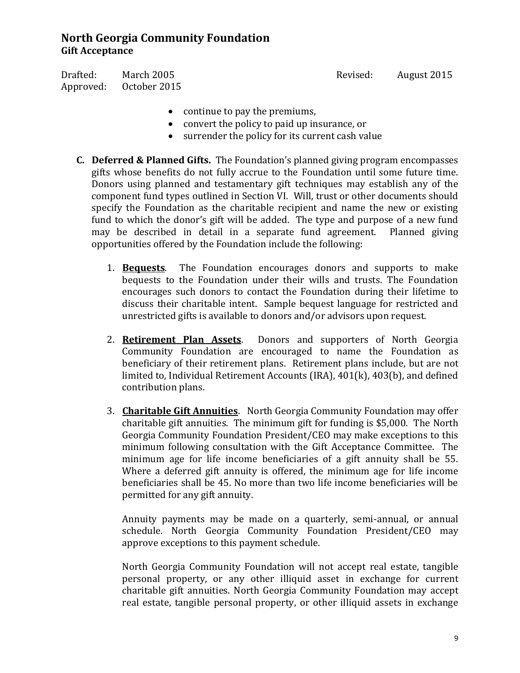Drafted: March 2005 Revised: August 2015 Approved: October 2015

- continue to pay the premiums,
- convert the policy to paid up insurance, or
- surrender the policy for its current cash value
- **C. Deferred & Planned Gifts.** The Foundation's planned giving program encompasses gifts whose benefits do not fully accrue to the Foundation until some future time. Donors using planned and testamentary gift techniques may establish any of the component fund types outlined in Section VI. Will, trust or other documents should specify the Foundation as the charitable recipient and name the new or existing fund to which the donor's gift will be added. The type and purpose of a new fund may be described in detail in a separate fund agreement. Planned giving may be described in detail in a separate fund agreement. opportunities offered by the Foundation include the following:
	- 1. **Bequests**. The Foundation encourages donors and supports to make bequests to the Foundation under their wills and trusts. The Foundation encourages such donors to contact the Foundation during their lifetime to discuss their charitable intent. Sample bequest language for restricted and unrestricted gifts is available to donors and/or advisors upon request.
	- 2. **Retirement Plan Assets**. Donors and supporters of North Georgia Community Foundation are encouraged to name the Foundation as beneficiary of their retirement plans. Retirement plans include, but are not limited to, Individual Retirement Accounts (IRA), 401(k), 403(b), and defined contribution plans.
	- 3. **Charitable Gift Annuities**. North Georgia Community Foundation may offer charitable gift annuities. The minimum gift for funding is \$5,000. The North Georgia Community Foundation President/CEO may make exceptions to this minimum following consultation with the Gift Acceptance Committee. The minimum age for life income beneficiaries of a gift annuity shall be 55. Where a deferred gift annuity is offered, the minimum age for life income beneficiaries shall be 45. No more than two life income beneficiaries will be permitted for any gift annuity.

Annuity payments may be made on a quarterly, semi-annual, or annual schedule. North Georgia Community Foundation President/CEO may approve exceptions to this payment schedule.

North Georgia Community Foundation will not accept real estate, tangible personal property, or any other illiquid asset in exchange for current charitable gift annuities. North Georgia Community Foundation may accept real estate, tangible personal property, or other illiquid assets in exchange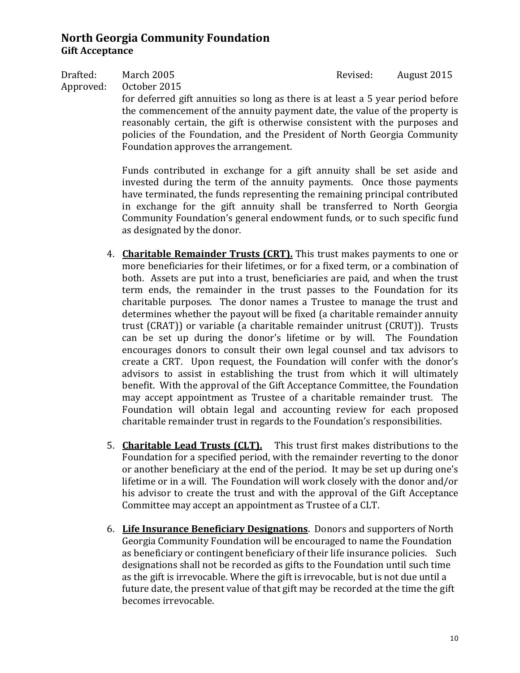Drafted: March 2005 Revised: August 2015 Approved: October 2015 for deferred gift annuities so long as there is at least a 5 year period before the commencement of the annuity payment date, the value of the property is reasonably certain, the gift is otherwise consistent with the purposes and policies of the Foundation, and the President of North Georgia Community

Foundation approves the arrangement.

Funds contributed in exchange for a gift annuity shall be set aside and invested during the term of the annuity payments. Once those payments have terminated, the funds representing the remaining principal contributed in exchange for the gift annuity shall be transferred to North Georgia Community Foundation's general endowment funds, or to such specific fund as designated by the donor.

- 4. **Charitable Remainder Trusts (CRT).** This trust makes payments to one or more beneficiaries for their lifetimes, or for a fixed term, or a combination of both. Assets are put into a trust, beneficiaries are paid, and when the trust term ends, the remainder in the trust passes to the Foundation for its charitable purposes. The donor names a Trustee to manage the trust and determines whether the payout will be fixed (a charitable remainder annuity trust (CRAT)) or variable (a charitable remainder unitrust (CRUT)). Trusts can be set up during the donor's lifetime or by will. The Foundation encourages donors to consult their own legal counsel and tax advisors to create a CRT. Upon request, the Foundation will confer with the donor's advisors to assist in establishing the trust from which it will ultimately benefit. With the approval of the Gift Acceptance Committee, the Foundation may accept appointment as Trustee of a charitable remainder trust. The Foundation will obtain legal and accounting review for each proposed charitable remainder trust in regards to the Foundation's responsibilities.
- 5. **Charitable Lead Trusts (CLT).** This trust first makes distributions to the Foundation for a specified period, with the remainder reverting to the donor or another beneficiary at the end of the period. It may be set up during one's lifetime or in a will. The Foundation will work closely with the donor and/or his advisor to create the trust and with the approval of the Gift Acceptance Committee may accept an appointment as Trustee of a CLT.
- 6. **Life Insurance Beneficiary Designations**. Donors and supporters of North Georgia Community Foundation will be encouraged to name the Foundation as beneficiary or contingent beneficiary of their life insurance policies. Such designations shall not be recorded as gifts to the Foundation until such time as the gift is irrevocable. Where the gift is irrevocable, but is not due until a future date, the present value of that gift may be recorded at the time the gift becomes irrevocable.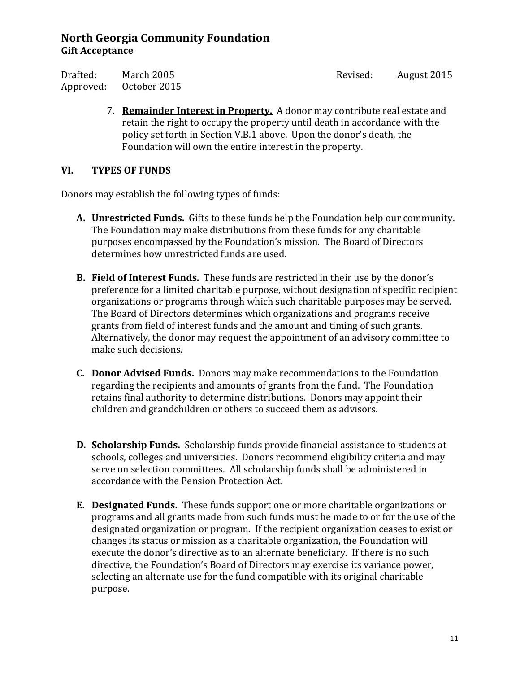Drafted: March 2005 Revised: August 2015 Approved: October 2015

7. **Remainder Interest in Property.** A donor may contribute real estate and retain the right to occupy the property until death in accordance with the policy set forth in Section V.B.1 above. Upon the donor's death, the Foundation will own the entire interest in the property.

### **VI. TYPES OF FUNDS**

Donors may establish the following types of funds:

- **A. Unrestricted Funds.** Gifts to these funds help the Foundation help our community. The Foundation may make distributions from these funds for any charitable purposes encompassed by the Foundation's mission. The Board of Directors determines how unrestricted funds are used.
- **B. Field of Interest Funds.** These funds are restricted in their use by the donor's preference for a limited charitable purpose, without designation of specific recipient organizations or programs through which such charitable purposes may be served. The Board of Directors determines which organizations and programs receive grants from field of interest funds and the amount and timing of such grants. Alternatively, the donor may request the appointment of an advisory committee to make such decisions.
- **C. Donor Advised Funds.** Donors may make recommendations to the Foundation regarding the recipients and amounts of grants from the fund. The Foundation retains final authority to determine distributions. Donors may appoint their children and grandchildren or others to succeed them as advisors.
- **D. Scholarship Funds.** Scholarship funds provide financial assistance to students at schools, colleges and universities. Donors recommend eligibility criteria and may serve on selection committees. All scholarship funds shall be administered in accordance with the Pension Protection Act.
- **E. Designated Funds.** These funds support one or more charitable organizations or programs and all grants made from such funds must be made to or for the use of the designated organization or program. If the recipient organization ceases to exist or changes its status or mission as a charitable organization, the Foundation will execute the donor's directive as to an alternate beneficiary. If there is no such directive, the Foundation's Board of Directors may exercise its variance power, selecting an alternate use for the fund compatible with its original charitable purpose.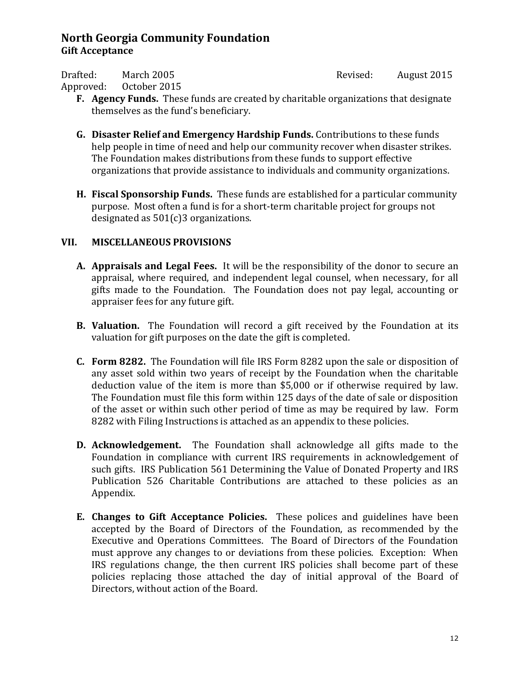Drafted: March 2005 Revised: August 2015

Approved: October 2015

- **F. Agency Funds.** These funds are created by charitable organizations that designate themselves as the fund's beneficiary.
- **G. Disaster Relief and Emergency Hardship Funds.** Contributions to these funds help people in time of need and help our community recover when disaster strikes. The Foundation makes distributions from these funds to support effective organizations that provide assistance to individuals and community organizations.
- **H. Fiscal Sponsorship Funds.** These funds are established for a particular community purpose. Most often a fund is for a short-term charitable project for groups not designated as 501(c)3 organizations.

# **VII. MISCELLANEOUS PROVISIONS**

- **A. Appraisals and Legal Fees.** It will be the responsibility of the donor to secure an appraisal, where required, and independent legal counsel, when necessary, for all gifts made to the Foundation. The Foundation does not pay legal, accounting or appraiser fees for any future gift.
- **B. Valuation.** The Foundation will record a gift received by the Foundation at its valuation for gift purposes on the date the gift is completed.
- **C. Form 8282.** The Foundation will file IRS Form 8282 upon the sale or disposition of any asset sold within two years of receipt by the Foundation when the charitable deduction value of the item is more than \$5,000 or if otherwise required by law. The Foundation must file this form within 125 days of the date of sale or disposition of the asset or within such other period of time as may be required by law. Form 8282 with Filing Instructions is attached as an appendix to these policies.
- **D. Acknowledgement.** The Foundation shall acknowledge all gifts made to the Foundation in compliance with current IRS requirements in acknowledgement of such gifts. IRS Publication 561 Determining the Value of Donated Property and IRS Publication 526 Charitable Contributions are attached to these policies as an Appendix.
- **E. Changes to Gift Acceptance Policies.** These polices and guidelines have been accepted by the Board of Directors of the Foundation, as recommended by the Executive and Operations Committees. The Board of Directors of the Foundation must approve any changes to or deviations from these policies. Exception: When IRS regulations change, the then current IRS policies shall become part of these policies replacing those attached the day of initial approval of the Board of Directors, without action of the Board.